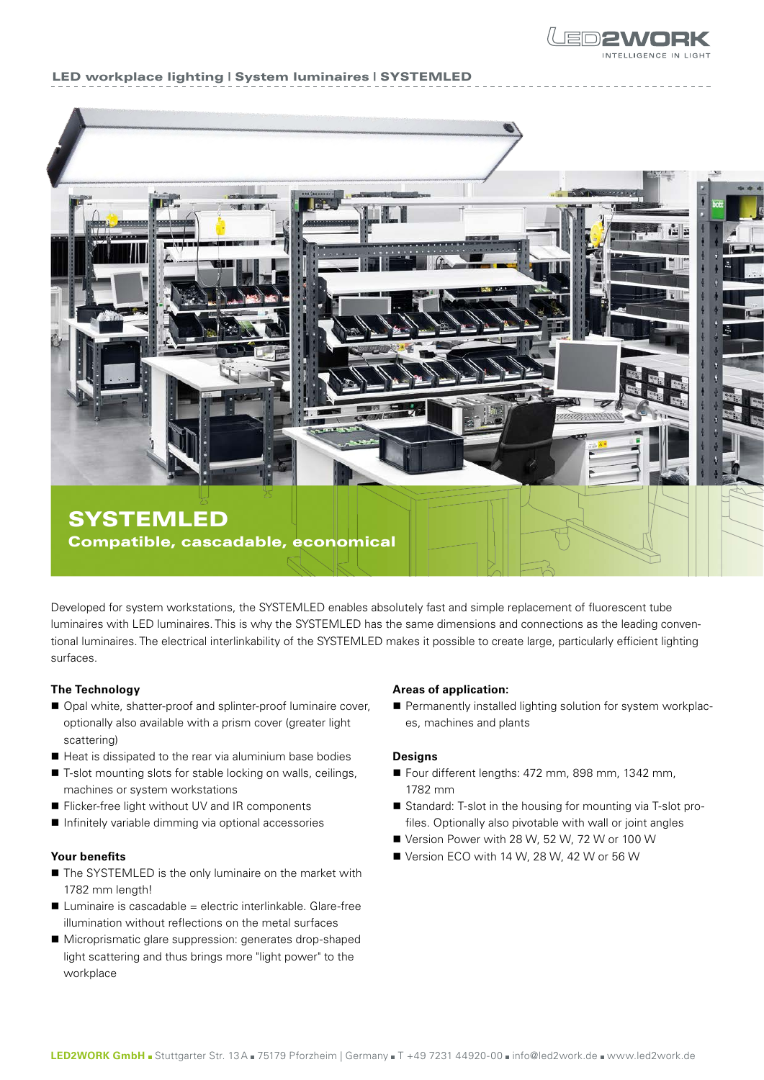

# LED workplace lighting | System luminaires | SYSTEMLED



Developed for system workstations, the SYSTEMLED enables absolutely fast and simple replacement of fluorescent tube luminaires with LED luminaires. This is why the SYSTEMLED has the same dimensions and connections as the leading conventional luminaires. The electrical interlinkability of the SYSTEMLED makes it possible to create large, particularly efficient lighting surfaces.

## **The Technology**

- Opal white, shatter-proof and splinter-proof luminaire cover, optionally also available with a prism cover (greater light scattering)
- $\blacksquare$  Heat is dissipated to the rear via aluminium base bodies
- T-slot mounting slots for stable locking on walls, ceilings, machines or system workstations
- Flicker-free light without UV and IR components
- Infinitely variable dimming via optional accessories

## **Your benefits**

- The SYSTEMLED is the only luminaire on the market with 1782 mm length!
- $\blacksquare$  Luminaire is cascadable = electric interlinkable. Glare-free illumination without reflections on the metal surfaces
- Microprismatic glare suppression: generates drop-shaped light scattering and thus brings more "light power" to the workplace

#### **Areas of application:**

■ Permanently installed lighting solution for system workplaces, machines and plants

#### **Designs**

- Four different lengths: 472 mm, 898 mm, 1342 mm, 1782 mm
- Standard: T-slot in the housing for mounting via T-slot profiles. Optionally also pivotable with wall or joint angles
- Version Power with 28 W, 52 W, 72 W or 100 W
- Version ECO with 14 W, 28 W, 42 W or 56 W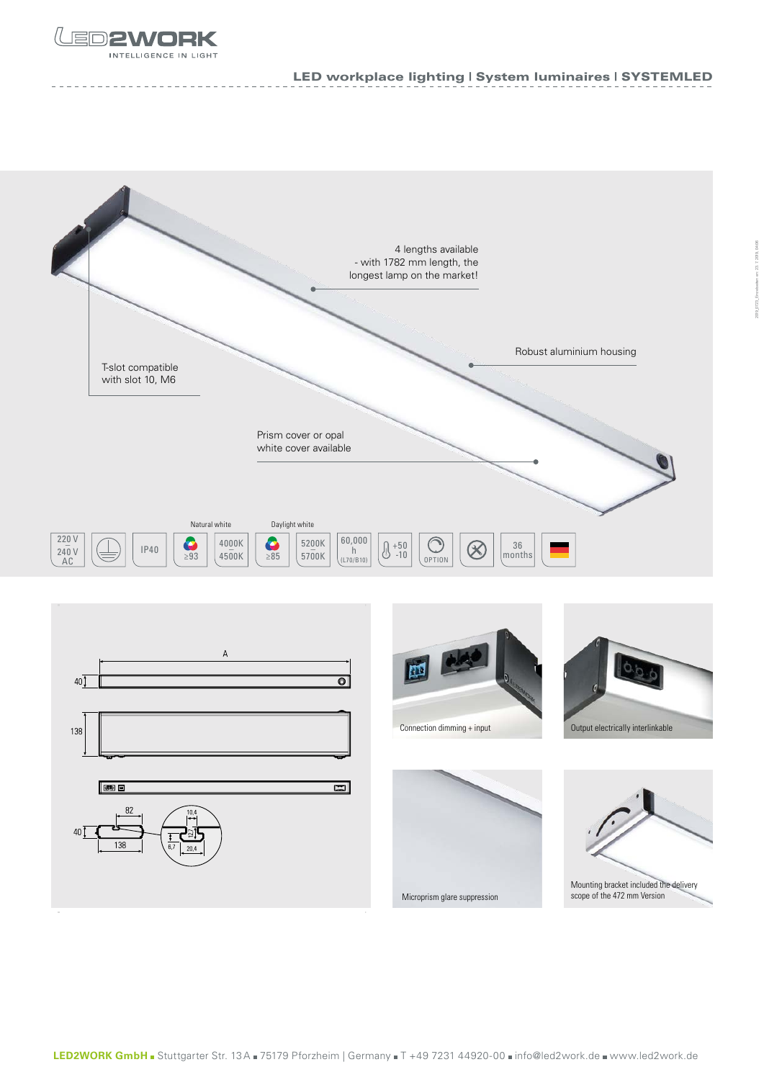

# LED workplace lighting | System luminaires | SYSTEMLED

2019\_0723\_Einzelseiten en: 23. 7. 2019, 04:06

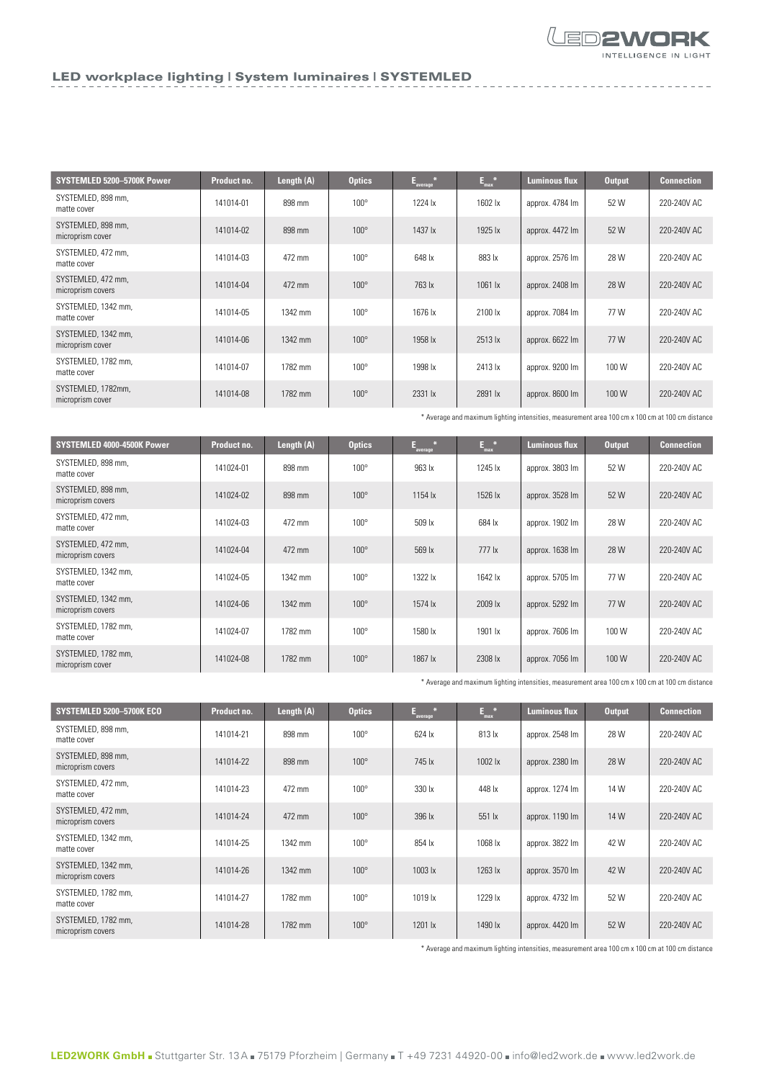

## LED workplace lighting | System luminaires | SYSTEMLED

| SYSTEMLED 5200-5700K Power              | Product no. | Length (A) | <b>Optics</b> | $E_{\text{average}}$<br>米 | $E_{\text{max}}^*$ | <b>Luminous flux</b> | <b>Output</b> | <b>Connection</b> |
|-----------------------------------------|-------------|------------|---------------|---------------------------|--------------------|----------------------|---------------|-------------------|
| SYSTEMLED, 898 mm,<br>matte cover       | 141014-01   | 898 mm     | $100^\circ$   | 1224 lx                   | 1602 lx            | approx. 4784 lm      | 52 W          | 220-240V AC       |
| SYSTEMLED, 898 mm,<br>microprism cover  | 141014-02   | 898 mm     | $100^\circ$   | 1437 lx                   | 1925 lx            | approx. 4472 Im      | 52 W          | 220-240V AC       |
| SYSTEMLED, 472 mm,<br>matte cover       | 141014-03   | 472 mm     | $100^\circ$   | 648 lx                    | 883 lx             | approx. 2576 lm      | 28 W          | 220-240V AC       |
| SYSTEMLED, 472 mm,<br>microprism covers | 141014-04   | 472 mm     | $100^\circ$   | 763 lx                    | $1061$ $\text{lx}$ | approx. 2408 Im      | 28 W          | 220-240V AC       |
| SYSTEMLED, 1342 mm,<br>matte cover      | 141014-05   | 1342 mm    | $100^\circ$   | 1676 lx                   | 2100 lx            | approx. 7084 Im      | 77 W          | 220-240V AC       |
| SYSTEMLED, 1342 mm,<br>microprism cover | 141014-06   | 1342 mm    | $100^\circ$   | 1958 lx                   | 2513 lx            | approx. 6622 Im      | 77 W          | 220-240V AC       |
| SYSTEMLED, 1782 mm.<br>matte cover      | 141014-07   | 1782 mm    | $100^\circ$   | 1998 lx                   | 2413 lx            | approx. 9200 lm      | 100W          | 220-240V AC       |
| SYSTEMLED, 1782mm,<br>microprism cover  | 141014-08   | 1782 mm    | $100^\circ$   | 2331 lx                   | 2891 lx            | approx. 8600 lm      | 100W          | 220-240V AC       |

\* Average and maximum lighting intensities, measurement area 100 cm x 100 cm at 100 cm distance

| SYSTEMLED 4000-4500K Power               | Product no. | Length (A) | <b>Optics</b> | $E_{\text{average}}$<br>米 | $E_{\text{max}}$ * | <b>Luminous flux</b> | <b>Output</b> | <b>Connection</b> |
|------------------------------------------|-------------|------------|---------------|---------------------------|--------------------|----------------------|---------------|-------------------|
| SYSTEMLED, 898 mm,<br>matte cover        | 141024-01   | 898 mm     | $100^\circ$   | 963 lx                    | 1245 lx            | approx. 3803 Im      | 52 W          | 220-240V AC       |
| SYSTEMLED, 898 mm,<br>microprism covers  | 141024-02   | 898 mm     | $100^\circ$   | $1154$ $\overline{x}$     | 1526 lx            | approx. 3528 Im      | 52 W          | 220-240V AC       |
| SYSTEMLED, 472 mm,<br>matte cover        | 141024-03   | 472 mm     | $100^\circ$   | 509 lx                    | 684 lx             | approx. 1902 Im      | 28 W          | 220-240V AC       |
| SYSTEMLED, 472 mm,<br>microprism covers  | 141024-04   | 472 mm     | $100^\circ$   | 569 lx                    | 777 lx             | approx. 1638 Im      | 28 W          | 220-240V AC       |
| SYSTEMLED, 1342 mm,<br>matte cover       | 141024-05   | 1342 mm    | $100^\circ$   | 1322 lx                   | 1642 lx            | approx. 5705 lm      | 77W           | 220-240V AC       |
| SYSTEMLED, 1342 mm,<br>microprism covers | 141024-06   | 1342 mm    | $100^\circ$   | 1574 lx                   | 2009 lx            | approx. 5292 Im      | 77 W          | 220-240V AC       |
| SYSTEMLED, 1782 mm,<br>matte cover       | 141024-07   | 1782 mm    | $100^\circ$   | 1580 lx                   | 1901 lx            | approx. 7606 lm      | 100 W         | 220-240V AC       |
| SYSTEMLED, 1782 mm,<br>microprism cover  | 141024-08   | 1782 mm    | $100^\circ$   | 1867 lx                   | 2308 lx            | approx. 7056 lm      | 100W          | 220-240V AC       |

\* Average and maximum lighting intensities, measurement area 100 cm x 100 cm at 100 cm distance

| SYSTEMLED 5200-5700K ECO                 | Product no. | Length (A) | <b>Optics</b> | $E_{\text{average}}$ | $\mathsf{E}_{\max}{}^*$           | <b>Luminous flux</b> | <b>Output</b> | <b>Connection</b> |
|------------------------------------------|-------------|------------|---------------|----------------------|-----------------------------------|----------------------|---------------|-------------------|
| SYSTEMLED, 898 mm.<br>matte cover        | 141014-21   | 898 mm     | $100^\circ$   | 624 lx               | 813 lx                            | approx. 2548 Im      | 28 W          | 220-240V AC       |
| SYSTEMLED, 898 mm,<br>microprism covers  | 141014-22   | 898 mm     | $100^\circ$   | 745 lx               | 1002 lx                           | approx. 2380 lm      | 28 W          | 220-240V AC       |
| SYSTEMLED, 472 mm,<br>matte cover        | 141014-23   | 472 mm     | $100^\circ$   | 330 lx               | 448 lx                            | approx. 1274 lm      | 14 W          | 220-240V AC       |
| SYSTEMLED, 472 mm,<br>microprism covers  | 141014-24   | 472 mm     | $100^\circ$   | 396 lx               | 551 lx                            | approx. 1190 lm      | 14 W          | 220-240V AC       |
| SYSTEMLED, 1342 mm.<br>matte cover       | 141014-25   | 1342 mm    | $100^\circ$   | 854 lx               | 1068 lx                           | approx. 3822 Im      | 42 W          | 220-240V AC       |
| SYSTEMLED, 1342 mm,<br>microprism covers | 141014-26   | 1342 mm    | $100^\circ$   | $1003$ $\mathsf{lx}$ | $1263$ $\overline{\phantom{1}}$ x | approx. 3570 lm      | 42 W          | 220-240V AC       |
| SYSTEMLED, 1782 mm.<br>matte cover       | 141014-27   | 1782 mm    | $100^\circ$   | 1019 lx              | 1229 lx                           | approx. 4732 lm      | 52 W          | 220-240V AC       |
| SYSTEMLED, 1782 mm,<br>microprism covers | 141014-28   | 1782 mm    | $100^\circ$   | 1201 lx              | 1490 lx                           | approx. 4420 lm      | 52 W          | 220-240V AC       |

\* Average and maximum lighting intensities, measurement area 100 cm x 100 cm at 100 cm distance